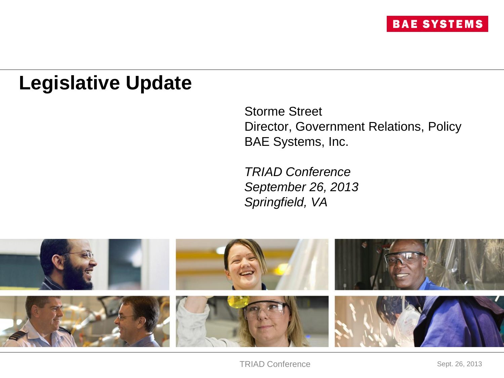## **Legislative Update**

Storme Street Director, Government Relations, Policy BAE Systems, Inc.

*TRIAD Conference September 26, 2013 Springfield, VA*

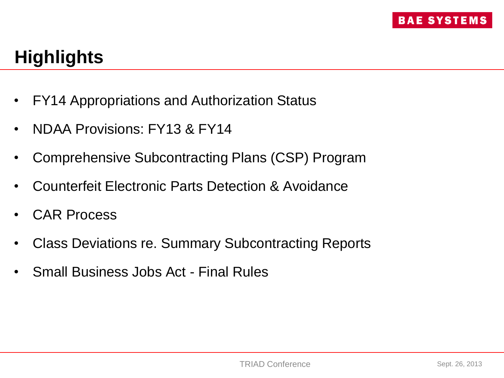# **Highlights**

- FY14 Appropriations and Authorization Status
- NDAA Provisions: FY13 & FY14
- Comprehensive Subcontracting Plans (CSP) Program
- Counterfeit Electronic Parts Detection & Avoidance
- CAR Process
- Class Deviations re. Summary Subcontracting Reports
- Small Business Jobs Act Final Rules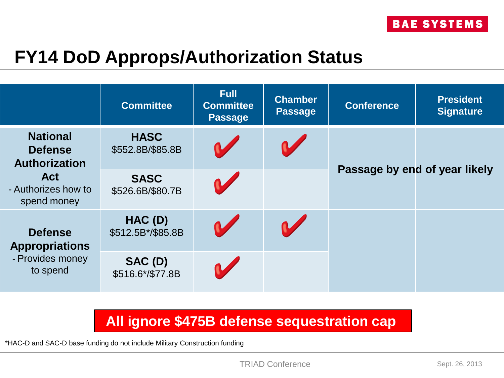#### **FY14 DoD Approps/Authorization Status**

|                                                                         | <b>Committee</b>                | <b>Full</b><br><b>Committee</b><br><b>Passage</b> | <b>Chamber</b><br><b>Passage</b> | <b>Conference</b>             | <b>President</b><br><b>Signature</b> |
|-------------------------------------------------------------------------|---------------------------------|---------------------------------------------------|----------------------------------|-------------------------------|--------------------------------------|
| <b>National</b><br><b>Defense</b><br><b>Authorization</b>               | <b>HASC</b><br>\$552.8B/\$85.8B | <b>M</b>                                          |                                  |                               |                                      |
| <b>Act</b><br>- Authorizes how to<br>spend money                        | <b>SASC</b><br>\$526.6B/\$80.7B | <b>M</b>                                          |                                  | Passage by end of year likely |                                      |
| <b>Defense</b><br><b>Appropriations</b><br>- Provides money<br>to spend | HAC (D)<br>\$512.5B*/\$85.8B    | $\sqrt{2}$                                        |                                  |                               |                                      |
|                                                                         | SAC (D)<br>\$516.6*/\$77.8B     |                                                   |                                  |                               |                                      |

#### **All ignore \$475B defense sequestration cap**

\*HAC-D and SAC-D base funding do not include Military Construction funding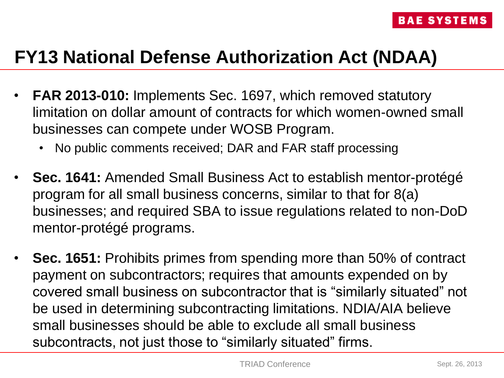- **FAR 2013-010:** Implements Sec. 1697, which removed statutory limitation on dollar amount of contracts for which women-owned small businesses can compete under WOSB Program.
	- No public comments received; DAR and FAR staff processing
- **Sec. 1641:** Amended Small Business Act to establish mentor-protégé program for all small business concerns, similar to that for 8(a) businesses; and required SBA to issue regulations related to non-DoD mentor-protégé programs.
- **Sec. 1651:** Prohibits primes from spending more than 50% of contract payment on subcontractors; requires that amounts expended on by covered small business on subcontractor that is "similarly situated" not be used in determining subcontracting limitations. NDIA/AIA believe small businesses should be able to exclude all small business subcontracts, not just those to "similarly situated" firms.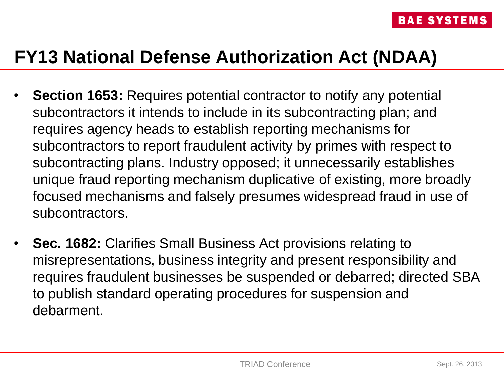- **Section 1653:** Requires potential contractor to notify any potential subcontractors it intends to include in its subcontracting plan; and requires agency heads to establish reporting mechanisms for subcontractors to report fraudulent activity by primes with respect to subcontracting plans. Industry opposed; it unnecessarily establishes unique fraud reporting mechanism duplicative of existing, more broadly focused mechanisms and falsely presumes widespread fraud in use of subcontractors.
- **Sec. 1682:** Clarifies Small Business Act provisions relating to misrepresentations, business integrity and present responsibility and requires fraudulent businesses be suspended or debarred; directed SBA to publish standard operating procedures for suspension and debarment.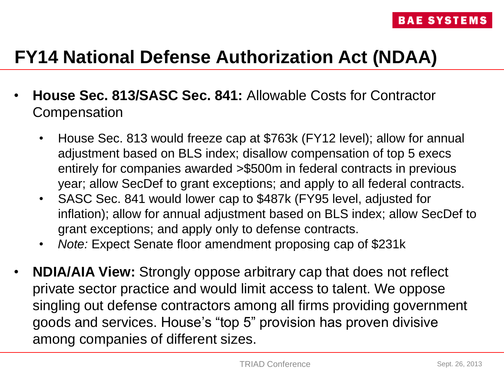- **House Sec. 813/SASC Sec. 841:** Allowable Costs for Contractor **Compensation** 
	- House Sec. 813 would freeze cap at \$763k (FY12 level); allow for annual adjustment based on BLS index; disallow compensation of top 5 execs entirely for companies awarded >\$500m in federal contracts in previous year; allow SecDef to grant exceptions; and apply to all federal contracts.
	- SASC Sec. 841 would lower cap to \$487k (FY95 level, adjusted for inflation); allow for annual adjustment based on BLS index; allow SecDef to grant exceptions; and apply only to defense contracts.
	- *Note:* Expect Senate floor amendment proposing cap of \$231k
- **NDIA/AIA View:** Strongly oppose arbitrary cap that does not reflect private sector practice and would limit access to talent. We oppose singling out defense contractors among all firms providing government goods and services. House's "top 5" provision has proven divisive among companies of different sizes.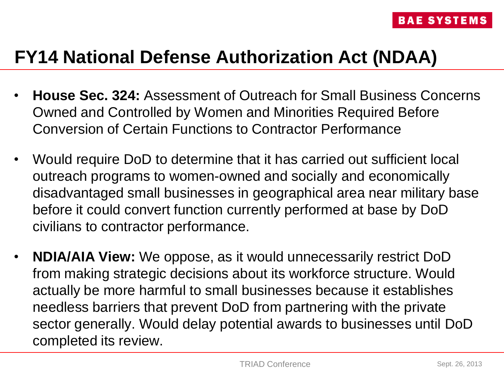- **House Sec. 324:** Assessment of Outreach for Small Business Concerns Owned and Controlled by Women and Minorities Required Before Conversion of Certain Functions to Contractor Performance
- Would require DoD to determine that it has carried out sufficient local outreach programs to women-owned and socially and economically disadvantaged small businesses in geographical area near military base before it could convert function currently performed at base by DoD civilians to contractor performance.
- **NDIA/AIA View:** We oppose, as it would unnecessarily restrict DoD from making strategic decisions about its workforce structure. Would actually be more harmful to small businesses because it establishes needless barriers that prevent DoD from partnering with the private sector generally. Would delay potential awards to businesses until DoD completed its review.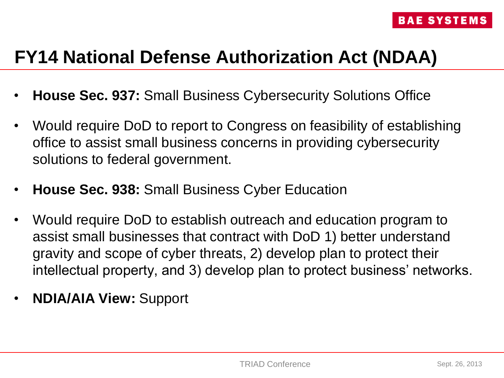- **House Sec. 937:** Small Business Cybersecurity Solutions Office
- Would require DoD to report to Congress on feasibility of establishing office to assist small business concerns in providing cybersecurity solutions to federal government.
- **House Sec. 938:** Small Business Cyber Education
- Would require DoD to establish outreach and education program to assist small businesses that contract with DoD 1) better understand gravity and scope of cyber threats, 2) develop plan to protect their intellectual property, and 3) develop plan to protect business' networks.
- **NDIA/AIA View:** Support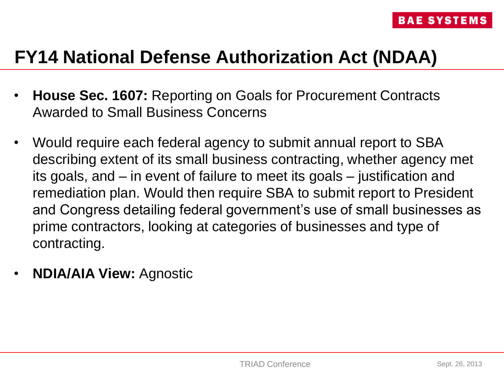- **House Sec. 1607:** Reporting on Goals for Procurement Contracts Awarded to Small Business Concerns
- Would require each federal agency to submit annual report to SBA describing extent of its small business contracting, whether agency met its goals, and – in event of failure to meet its goals – justification and remediation plan. Would then require SBA to submit report to President and Congress detailing federal government's use of small businesses as prime contractors, looking at categories of businesses and type of contracting.
- **NDIA/AIA View:** Agnostic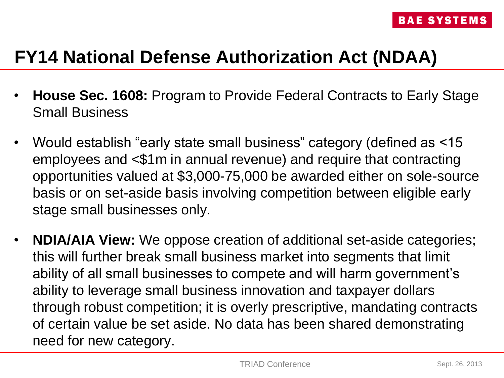- **House Sec. 1608:** Program to Provide Federal Contracts to Early Stage Small Business
- Would establish "early state small business" category (defined as <15 employees and <\$1m in annual revenue) and require that contracting opportunities valued at \$3,000-75,000 be awarded either on sole-source basis or on set-aside basis involving competition between eligible early stage small businesses only.
- **NDIA/AIA View:** We oppose creation of additional set-aside categories; this will further break small business market into segments that limit ability of all small businesses to compete and will harm government's ability to leverage small business innovation and taxpayer dollars through robust competition; it is overly prescriptive, mandating contracts of certain value be set aside. No data has been shared demonstrating need for new category.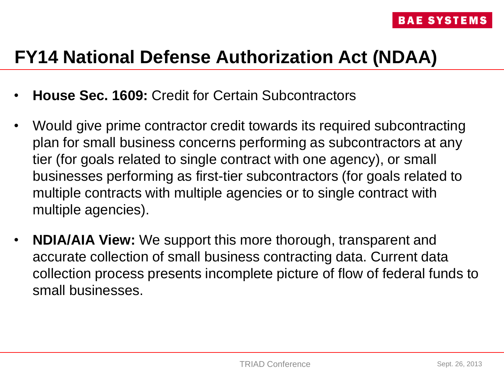- **House Sec. 1609:** Credit for Certain Subcontractors
- Would give prime contractor credit towards its required subcontracting plan for small business concerns performing as subcontractors at any tier (for goals related to single contract with one agency), or small businesses performing as first-tier subcontractors (for goals related to multiple contracts with multiple agencies or to single contract with multiple agencies).
- **NDIA/AIA View:** We support this more thorough, transparent and accurate collection of small business contracting data. Current data collection process presents incomplete picture of flow of federal funds to small businesses.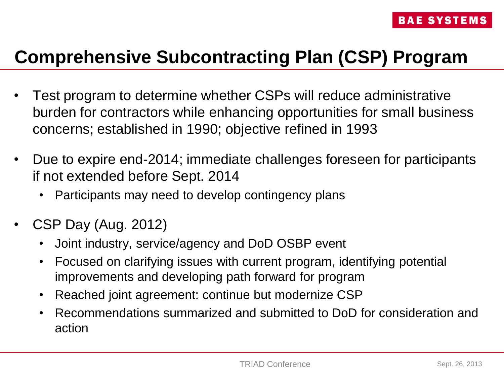## **Comprehensive Subcontracting Plan (CSP) Program**

- Test program to determine whether CSPs will reduce administrative burden for contractors while enhancing opportunities for small business concerns; established in 1990; objective refined in 1993
- Due to expire end-2014; immediate challenges foreseen for participants if not extended before Sept. 2014
	- Participants may need to develop contingency plans
- CSP Day (Aug. 2012)
	- Joint industry, service/agency and DoD OSBP event
	- Focused on clarifying issues with current program, identifying potential improvements and developing path forward for program
	- Reached joint agreement: continue but modernize CSP
	- Recommendations summarized and submitted to DoD for consideration and action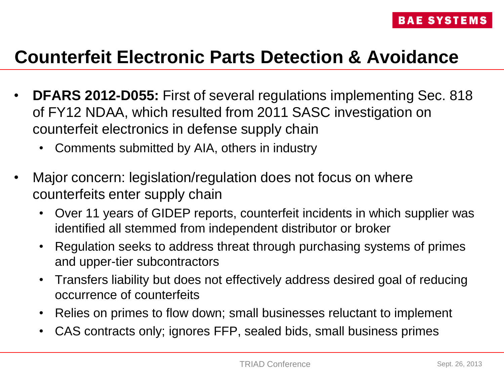#### **Counterfeit Electronic Parts Detection & Avoidance**

- **DFARS 2012-D055:** First of several regulations implementing Sec. 818 of FY12 NDAA, which resulted from 2011 SASC investigation on counterfeit electronics in defense supply chain
	- Comments submitted by AIA, others in industry
- Major concern: legislation/regulation does not focus on where counterfeits enter supply chain
	- Over 11 years of GIDEP reports, counterfeit incidents in which supplier was identified all stemmed from independent distributor or broker
	- Regulation seeks to address threat through purchasing systems of primes and upper-tier subcontractors
	- Transfers liability but does not effectively address desired goal of reducing occurrence of counterfeits
	- Relies on primes to flow down; small businesses reluctant to implement
	- CAS contracts only; ignores FFP, sealed bids, small business primes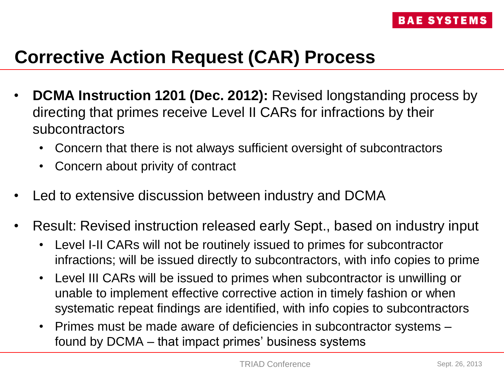# **Corrective Action Request (CAR) Process**

- **DCMA Instruction 1201 (Dec. 2012):** Revised longstanding process by directing that primes receive Level II CARs for infractions by their subcontractors
	- Concern that there is not always sufficient oversight of subcontractors
	- Concern about privity of contract
- Led to extensive discussion between industry and DCMA
- Result: Revised instruction released early Sept., based on industry input
	- Level I-II CARs will not be routinely issued to primes for subcontractor infractions; will be issued directly to subcontractors, with info copies to prime
	- Level III CARs will be issued to primes when subcontractor is unwilling or unable to implement effective corrective action in timely fashion or when systematic repeat findings are identified, with info copies to subcontractors
	- Primes must be made aware of deficiencies in subcontractor systems found by DCMA – that impact primes' business systems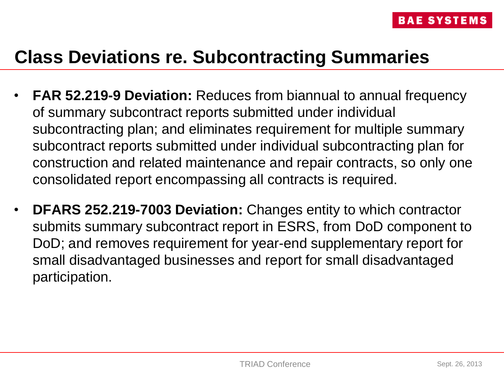#### **Class Deviations re. Subcontracting Summaries**

- **FAR 52.219-9 Deviation:** Reduces from biannual to annual frequency of summary subcontract reports submitted under individual subcontracting plan; and eliminates requirement for multiple summary subcontract reports submitted under individual subcontracting plan for construction and related maintenance and repair contracts, so only one consolidated report encompassing all contracts is required.
- **DFARS 252.219-7003 Deviation:** Changes entity to which contractor submits summary subcontract report in ESRS, from DoD component to DoD; and removes requirement for year-end supplementary report for small disadvantaged businesses and report for small disadvantaged participation.